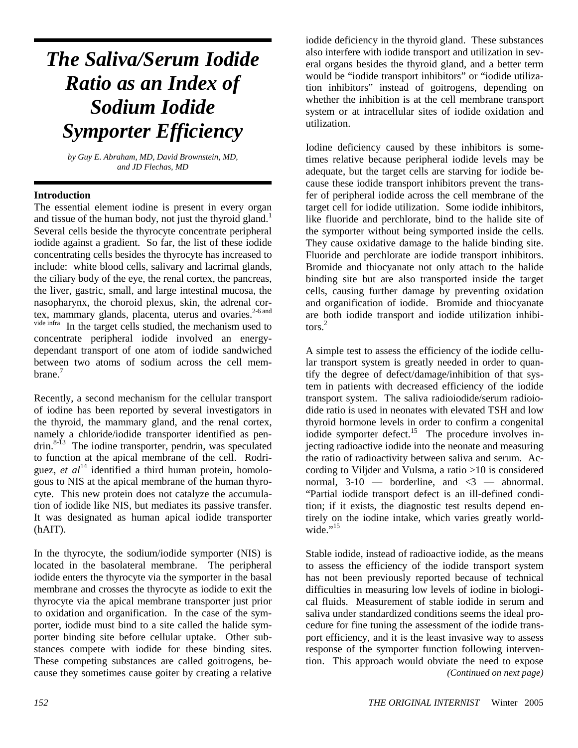# *The Saliva/Serum Iodide Ratio as an Index of Sodium Iodide Symporter Efficiency*

*by Guy E. Abraham, MD, David Brownstein, MD, and JD Flechas, MD*

#### **Introduction**

The essential element iodine is present in every organ and tissue of the human body, not just the thyroid gland.<sup>1</sup> Several cells beside the thyrocyte concentrate peripheral iodide against a gradient. So far, the list of these iodide concentrating cells besides the thyrocyte has increased to include: white blood cells, salivary and lacrimal glands, the ciliary body of the eye, the renal cortex, the pancreas, the liver, gastric, small, and large intestinal mucosa, the nasopharynx, the choroid plexus, skin, the adrenal cortex, mammary glands, placenta, uterus and ovaries.<sup>2-6 and</sup> vide infra<sub>In</sub> the terms calls studied, the mechanism used to In the target cells studied, the mechanism used to concentrate peripheral iodide involved an energydependant transport of one atom of iodide sandwiched between two atoms of sodium across the cell membrane.<sup>7</sup>

Recently, a second mechanism for the cellular transport of iodine has been reported by several investigators in the thyroid, the mammary gland, and the renal cortex, namely a chloride/iodide transporter identified as pen- $\text{drin.}^{8\textrm{-}13}$  The iodine transporter, pendrin, was speculated to function at the apical membrane of the cell. Rodriguez,  $et \t al<sup>14</sup>$  identified a third human protein, homologous to NIS at the apical membrane of the human thyrocyte. This new protein does not catalyze the accumulation of iodide like NIS, but mediates its passive transfer. It was designated as human apical iodide transporter (hAIT).

In the thyrocyte, the sodium/iodide symporter (NIS) is located in the basolateral membrane. The peripheral iodide enters the thyrocyte via the symporter in the basal membrane and crosses the thyrocyte as iodide to exit the thyrocyte via the apical membrane transporter just prior to oxidation and organification. In the case of the symporter, iodide must bind to a site called the halide symporter binding site before cellular uptake. Other substances compete with iodide for these binding sites. These competing substances are called goitrogens, because they sometimes cause goiter by creating a relative iodide deficiency in the thyroid gland. These substances also interfere with iodide transport and utilization in several organs besides the thyroid gland, and a better term would be "iodide transport inhibitors" or "iodide utilization inhibitors" instead of goitrogens, depending on whether the inhibition is at the cell membrane transport system or at intracellular sites of iodide oxidation and utilization.

Iodine deficiency caused by these inhibitors is sometimes relative because peripheral iodide levels may be adequate, but the target cells are starving for iodide because these iodide transport inhibitors prevent the transfer of peripheral iodide across the cell membrane of the target cell for iodide utilization. Some iodide inhibitors, like fluoride and perchlorate, bind to the halide site of the symporter without being symported inside the cells. They cause oxidative damage to the halide binding site. Fluoride and perchlorate are iodide transport inhibitors. Bromide and thiocyanate not only attach to the halide binding site but are also transported inside the target cells, causing further damage by preventing oxidation and organification of iodide. Bromide and thiocyanate are both iodide transport and iodide utilization inhibi- $\cos^2$ 

A simple test to assess the efficiency of the iodide cellular transport system is greatly needed in order to quantify the degree of defect/damage/inhibition of that system in patients with decreased efficiency of the iodide transport system. The saliva radioiodide/serum radioiodide ratio is used in neonates with elevated TSH and low thyroid hormone levels in order to confirm a congenital iodide symporter defect.<sup>15</sup> The procedure involves injecting radioactive iodide into the neonate and measuring the ratio of radioactivity between saliva and serum. According to Viljder and Vulsma, a ratio >10 is considered normal,  $3-10$  — borderline, and  $\langle 3 \rangle$  — abnormal. "Partial iodide transport defect is an ill-defined condition; if it exists, the diagnostic test results depend entirely on the iodine intake, which varies greatly worldwide."<sup>15</sup>

Stable iodide, instead of radioactive iodide, as the means to assess the efficiency of the iodide transport system has not been previously reported because of technical difficulties in measuring low levels of iodine in biological fluids. Measurement of stable iodide in serum and saliva under standardized conditions seems the ideal procedure for fine tuning the assessment of the iodide transport efficiency, and it is the least invasive way to assess response of the symporter function following intervention. This approach would obviate the need to expose *(Continued on next page)*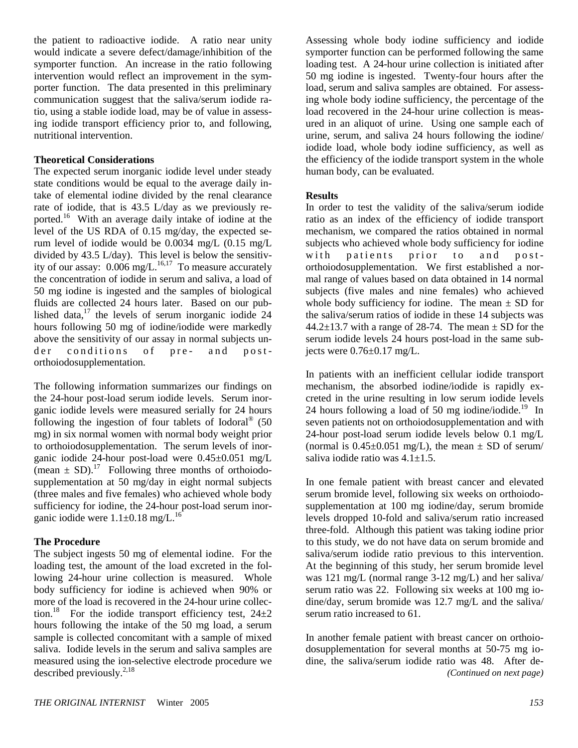the patient to radioactive iodide. A ratio near unity would indicate a severe defect/damage/inhibition of the symporter function. An increase in the ratio following intervention would reflect an improvement in the symporter function. The data presented in this preliminary communication suggest that the saliva/serum iodide ratio, using a stable iodide load, may be of value in assessing iodide transport efficiency prior to, and following, nutritional intervention.

#### **Theoretical Considerations**

The expected serum inorganic iodide level under steady state conditions would be equal to the average daily intake of elemental iodine divided by the renal clearance rate of iodide, that is 43.5 L/day as we previously reported.16 With an average daily intake of iodine at the level of the US RDA of 0.15 mg/day, the expected serum level of iodide would be 0.0034 mg/L (0.15 mg/L divided by 43.5 L/day). This level is below the sensitivity of our assay:  $0.006 \text{ mg/L}$ .<sup>16,17</sup> To measure accurately the concentration of iodide in serum and saliva, a load of 50 mg iodine is ingested and the samples of biological fluids are collected 24 hours later. Based on our published data, $17$  the levels of serum inorganic iodide 24 hours following 50 mg of iodine/iodide were markedly above the sensitivity of our assay in normal subjects under conditions of pre- and postorthoiodosupplementation.

The following information summarizes our findings on the 24-hour post-load serum iodide levels. Serum inorganic iodide levels were measured serially for 24 hours following the ingestion of four tablets of Iodoral® (50 mg) in six normal women with normal body weight prior to orthoiodosupplementation. The serum levels of inorganic iodide 24-hour post-load were 0.45±0.051 mg/L (mean  $\pm$  SD).<sup>17</sup> Following three months of orthoiodosupplementation at 50 mg/day in eight normal subjects (three males and five females) who achieved whole body sufficiency for iodine, the 24-hour post-load serum inorganic iodide were  $1.1\pm0.18$  mg/L.<sup>16</sup>

#### **The Procedure**

The subject ingests 50 mg of elemental iodine. For the loading test, the amount of the load excreted in the following 24-hour urine collection is measured. Whole body sufficiency for iodine is achieved when 90% or more of the load is recovered in the 24-hour urine collection.<sup>18</sup> For the iodide transport efficiency test,  $24\pm2$ hours following the intake of the 50 mg load, a serum sample is collected concomitant with a sample of mixed saliva. Iodide levels in the serum and saliva samples are measured using the ion-selective electrode procedure we described previously.<sup>2,18</sup>

Assessing whole body iodine sufficiency and iodide symporter function can be performed following the same loading test. A 24-hour urine collection is initiated after 50 mg iodine is ingested. Twenty-four hours after the load, serum and saliva samples are obtained. For assessing whole body iodine sufficiency, the percentage of the load recovered in the 24-hour urine collection is measured in an aliquot of urine. Using one sample each of urine, serum, and saliva 24 hours following the iodine/ iodide load, whole body iodine sufficiency, as well as the efficiency of the iodide transport system in the whole human body, can be evaluated.

#### **Results**

In order to test the validity of the saliva/serum iodide ratio as an index of the efficiency of iodide transport mechanism, we compared the ratios obtained in normal subjects who achieved whole body sufficiency for iodine with patients prior to and postorthoiodosupplementation. We first established a normal range of values based on data obtained in 14 normal subjects (five males and nine females) who achieved whole body sufficiency for iodine. The mean  $\pm$  SD for the saliva/serum ratios of iodide in these 14 subjects was  $44.2\pm13.7$  with a range of 28-74. The mean  $\pm$  SD for the serum iodide levels 24 hours post-load in the same subjects were 0.76±0.17 mg/L.

In patients with an inefficient cellular iodide transport mechanism, the absorbed iodine/iodide is rapidly excreted in the urine resulting in low serum iodide levels 24 hours following a load of 50 mg iodine/iodide.<sup>19</sup> In seven patients not on orthoiodosupplementation and with 24-hour post-load serum iodide levels below 0.1 mg/L (normal is  $0.45\pm0.051$  mg/L), the mean  $\pm$  SD of serum/ saliva iodide ratio was 4.1±1.5.

In one female patient with breast cancer and elevated serum bromide level, following six weeks on orthoiodosupplementation at 100 mg iodine/day, serum bromide levels dropped 10-fold and saliva/serum ratio increased three-fold. Although this patient was taking iodine prior to this study, we do not have data on serum bromide and saliva/serum iodide ratio previous to this intervention. At the beginning of this study, her serum bromide level was 121 mg/L (normal range 3-12 mg/L) and her saliva/ serum ratio was 22. Following six weeks at 100 mg iodine/day, serum bromide was 12.7 mg/L and the saliva/ serum ratio increased to 61.

In another female patient with breast cancer on orthoiodosupplementation for several months at 50-75 mg iodine, the saliva/serum iodide ratio was 48. After de- *(Continued on next page)*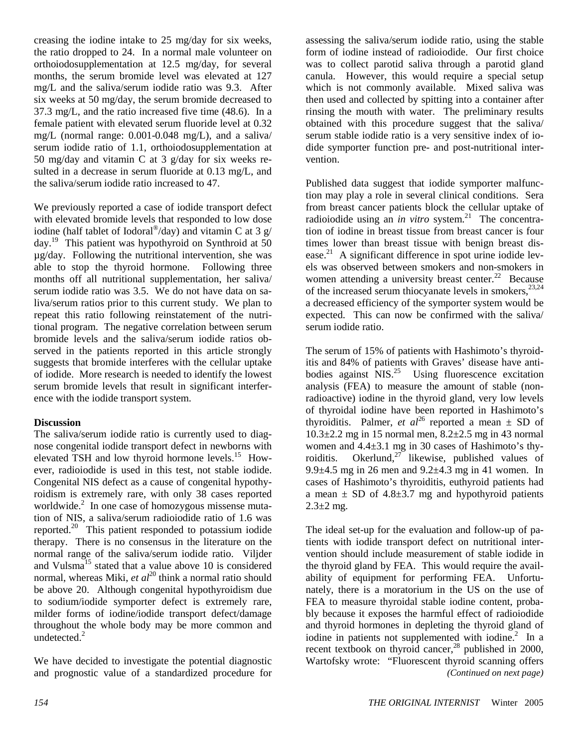creasing the iodine intake to 25 mg/day for six weeks, the ratio dropped to 24. In a normal male volunteer on orthoiodosupplementation at 12.5 mg/day, for several months, the serum bromide level was elevated at 127 mg/L and the saliva/serum iodide ratio was 9.3. After six weeks at 50 mg/day, the serum bromide decreased to 37.3 mg/L, and the ratio increased five time (48.6). In a female patient with elevated serum fluoride level at 0.32 mg/L (normal range: 0.001-0.048 mg/L), and a saliva/ serum iodide ratio of 1.1, orthoiodosupplementation at 50 mg/day and vitamin C at 3 g/day for six weeks resulted in a decrease in serum fluoride at 0.13 mg/L, and the saliva/serum iodide ratio increased to 47.

We previously reported a case of iodide transport defect with elevated bromide levels that responded to low dose iodine (half tablet of Iodoral<sup>®</sup>/day) and vitamin C at 3  $g/$ day.19 This patient was hypothyroid on Synthroid at 50 µg/day. Following the nutritional intervention, she was able to stop the thyroid hormone. Following three months off all nutritional supplementation, her saliva/ serum iodide ratio was 3.5. We do not have data on saliva/serum ratios prior to this current study. We plan to repeat this ratio following reinstatement of the nutritional program. The negative correlation between serum bromide levels and the saliva/serum iodide ratios observed in the patients reported in this article strongly suggests that bromide interferes with the cellular uptake of iodide. More research is needed to identify the lowest serum bromide levels that result in significant interference with the iodide transport system.

## **Discussion**

The saliva/serum iodide ratio is currently used to diagnose congenital iodide transport defect in newborns with elevated TSH and low thyroid hormone levels.<sup>15</sup> However, radioiodide is used in this test, not stable iodide. Congenital NIS defect as a cause of congenital hypothyroidism is extremely rare, with only 38 cases reported worldwide.<sup>2</sup> In one case of homozygous missense mutation of NIS, a saliva/serum radioiodide ratio of 1.6 was reported.20 This patient responded to potassium iodide therapy. There is no consensus in the literature on the normal range of the saliva/serum iodide ratio. Viljder and Vulsma<sup>15</sup> stated that a value above 10 is considered normal, whereas Miki, *et al*<sup>20</sup> think a normal ratio should be above 20. Although congenital hypothyroidism due to sodium/iodide symporter defect is extremely rare, milder forms of iodine/iodide transport defect/damage throughout the whole body may be more common and undetected.<sup>2</sup>

We have decided to investigate the potential diagnostic and prognostic value of a standardized procedure for assessing the saliva/serum iodide ratio, using the stable form of iodine instead of radioiodide. Our first choice was to collect parotid saliva through a parotid gland canula. However, this would require a special setup which is not commonly available. Mixed saliva was then used and collected by spitting into a container after rinsing the mouth with water. The preliminary results obtained with this procedure suggest that the saliva/ serum stable iodide ratio is a very sensitive index of iodide symporter function pre- and post-nutritional intervention.

Published data suggest that iodide symporter malfunction may play a role in several clinical conditions. Sera from breast cancer patients block the cellular uptake of radioiodide using an *in vitro* system.<sup>21</sup> The concentration of iodine in breast tissue from breast cancer is four times lower than breast tissue with benign breast disease. $^{21}$  A significant difference in spot urine iodide levels was observed between smokers and non-smokers in women attending a university breast center.<sup>22</sup> Because of the increased serum thiocyanate levels in smokers,  $23,24$ a decreased efficiency of the symporter system would be expected. This can now be confirmed with the saliva/ serum iodide ratio.

The serum of 15% of patients with Hashimoto's thyroiditis and 84% of patients with Graves' disease have antibodies against  $NIS.<sup>25</sup>$  Using fluorescence excitation analysis (FEA) to measure the amount of stable (nonradioactive) iodine in the thyroid gland, very low levels of thyroidal iodine have been reported in Hashimoto's thyroiditis. Palmer, *et al*<sup>26</sup> reported a mean  $\pm$  SD of 10.3±2.2 mg in 15 normal men, 8.2±2.5 mg in 43 normal women and 4.4±3.1 mg in 30 cases of Hashimoto's thyroiditis. Okerlund, $27$  likewise, published values of 9.9 $\pm$ 4.5 mg in 26 men and 9.2 $\pm$ 4.3 mg in 41 women. In cases of Hashimoto's thyroiditis, euthyroid patients had a mean  $\pm$  SD of 4.8 $\pm$ 3.7 mg and hypothyroid patients  $2.3 \pm 2$  mg.

The ideal set-up for the evaluation and follow-up of patients with iodide transport defect on nutritional intervention should include measurement of stable iodide in the thyroid gland by FEA. This would require the availability of equipment for performing FEA. Unfortunately, there is a moratorium in the US on the use of FEA to measure thyroidal stable iodine content, probably because it exposes the harmful effect of radioiodide and thyroid hormones in depleting the thyroid gland of iodine in patients not supplemented with iodine.<sup>2</sup> In a recent textbook on thyroid cancer,<sup>28</sup> published in 2000, Wartofsky wrote: "Fluorescent thyroid scanning offers *(Continued on next page)*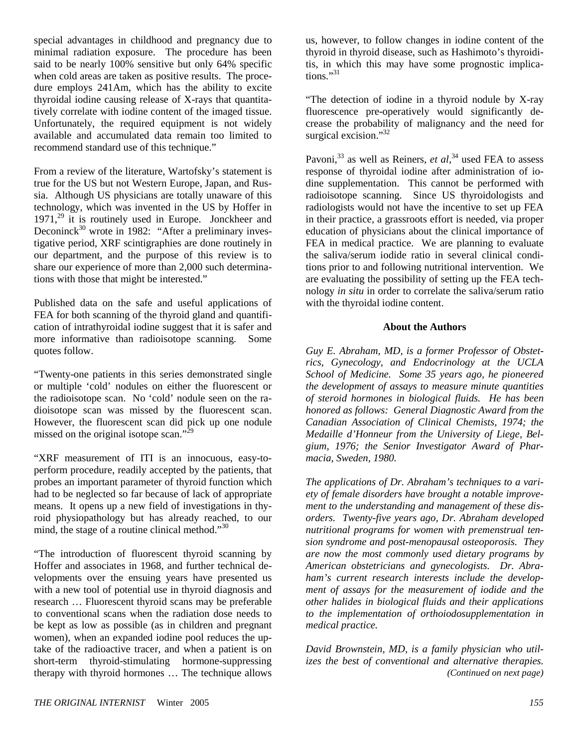special advantages in childhood and pregnancy due to minimal radiation exposure. The procedure has been said to be nearly 100% sensitive but only 64% specific when cold areas are taken as positive results. The procedure employs 241Am, which has the ability to excite thyroidal iodine causing release of X-rays that quantitatively correlate with iodine content of the imaged tissue. Unfortunately, the required equipment is not widely available and accumulated data remain too limited to recommend standard use of this technique."

From a review of the literature, Wartofsky's statement is true for the US but not Western Europe, Japan, and Russia. Although US physicians are totally unaware of this technology, which was invented in the US by Hoffer in  $1971<sup>29</sup>$  it is routinely used in Europe. Jonckheer and Deconinck<sup>30</sup> wrote in 1982: "After a preliminary investigative period, XRF scintigraphies are done routinely in our department, and the purpose of this review is to share our experience of more than 2,000 such determinations with those that might be interested."

Published data on the safe and useful applications of FEA for both scanning of the thyroid gland and quantification of intrathyroidal iodine suggest that it is safer and more informative than radioisotope scanning. Some quotes follow.

"Twenty-one patients in this series demonstrated single or multiple 'cold' nodules on either the fluorescent or the radioisotope scan. No 'cold' nodule seen on the radioisotope scan was missed by the fluorescent scan. However, the fluorescent scan did pick up one nodule missed on the original isotope scan."<sup>2</sup>

"XRF measurement of ITI is an innocuous, easy-toperform procedure, readily accepted by the patients, that probes an important parameter of thyroid function which had to be neglected so far because of lack of appropriate means. It opens up a new field of investigations in thyroid physiopathology but has already reached, to our mind, the stage of a routine clinical method."<sup>30</sup>

"The introduction of fluorescent thyroid scanning by Hoffer and associates in 1968, and further technical developments over the ensuing years have presented us with a new tool of potential use in thyroid diagnosis and research … Fluorescent thyroid scans may be preferable to conventional scans when the radiation dose needs to be kept as low as possible (as in children and pregnant women), when an expanded iodine pool reduces the uptake of the radioactive tracer, and when a patient is on short-term thyroid-stimulating hormone-suppressing therapy with thyroid hormones … The technique allows

us, however, to follow changes in iodine content of the thyroid in thyroid disease, such as Hashimoto's thyroiditis, in which this may have some prognostic implications."31

"The detection of iodine in a thyroid nodule by X-ray fluorescence pre-operatively would significantly decrease the probability of malignancy and the need for surgical excision."<sup>32</sup>

Pavoni,<sup>33</sup> as well as Reiners, *et al*,<sup>34</sup> used FEA to assess response of thyroidal iodine after administration of iodine supplementation. This cannot be performed with radioisotope scanning. Since US thyroidologists and radiologists would not have the incentive to set up FEA in their practice, a grassroots effort is needed, via proper education of physicians about the clinical importance of FEA in medical practice. We are planning to evaluate the saliva/serum iodide ratio in several clinical conditions prior to and following nutritional intervention. We are evaluating the possibility of setting up the FEA technology *in situ* in order to correlate the saliva/serum ratio with the thyroidal iodine content.

### **About the Authors**

*Guy E. Abraham, MD, is a former Professor of Obstetrics, Gynecology, and Endocrinology at the UCLA School of Medicine. Some 35 years ago, he pioneered the development of assays to measure minute quantities of steroid hormones in biological fluids. He has been honored as follows: General Diagnostic Award from the Canadian Association of Clinical Chemists, 1974; the Medaille d'Honneur from the University of Liege, Belgium, 1976; the Senior Investigator Award of Pharmacia, Sweden, 1980.* 

*The applications of Dr. Abraham's techniques to a variety of female disorders have brought a notable improvement to the understanding and management of these disorders. Twenty-five years ago, Dr. Abraham developed nutritional programs for women with premenstrual tension syndrome and post-menopausal osteoporosis. They are now the most commonly used dietary programs by American obstetricians and gynecologists. Dr. Abraham's current research interests include the development of assays for the measurement of iodide and the other halides in biological fluids and their applications to the implementation of orthoiodosupplementation in medical practice.* 

*David Brownstein, MD, is a family physician who utilizes the best of conventional and alternative therapies. (Continued on next page)*